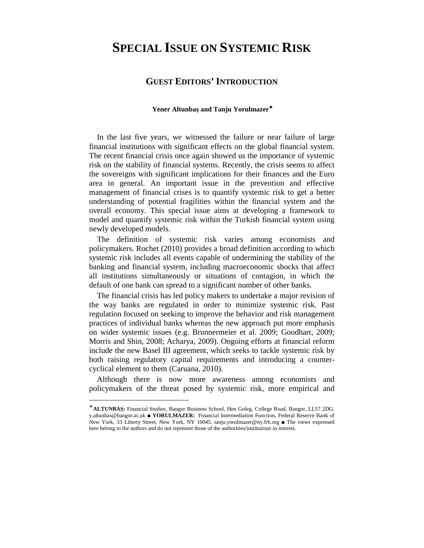## **SPECIAL ISSUE ON SYSTEMIC RISK**

## **GUEST EDITORS' INTRODUCTION**

## **Yener Altunbaş and Tanju Yorulmazer**<sup>∗</sup>

In the last five years, we witnessed the failure or near failure of large financial institutions with significant effects on the global financial system. The recent financial crisis once again showed us the importance of systemic risk on the stability of financial systems. Recently, the crisis seems to affect the sovereigns with significant implications for their finances and the Euro area in general. An important issue in the prevention and effective management of financial crises is to quantify systemic risk to get a better understanding of potential fragilities within the financial system and the overall economy. This special issue aims at developing a framework to model and quantify systemic risk within the Turkish financial system using newly developed models.

The definition of systemic risk varies among economists and policymakers. Rochet (2010) provides a broad definition according to which systemic risk includes all events capable of undermining the stability of the banking and financial system, including macroeconomic shocks that affect all institutions simultaneously or situations of contagion, in which the default of one bank can spread to a significant number of other banks.

The financial crisis has led policy makers to undertake a major revision of the way banks are regulated in order to minimize systemic risk. Past regulation focused on seeking to improve the behavior and risk management practices of individual banks whereas the new approach put more emphasis on wider systemic issues (e.g. Brunnermeier et al. 2009; Goodhart, 2009; Morris and Shin, 2008; Acharya, 2009). Ongoing efforts at financial reform include the new Basel III agreement, which seeks to tackle systemic risk by both raising regulatory capital requirements and introducing a countercyclical element to them (Caruana, 2010).

Although there is now more awareness among economists and policymakers of the threat posed by systemic risk, more empirical and

 $\overline{a}$ 

<sup>∗</sup> **ALTUNBAŞ:** Financial Studies, Bangor Business School, Hen Goleg, College Road, Bangor, LL57 2DG. y.altunbas@bangor.ac.uk ■ **YORULMAZER:** Financial Intermediation Function, Federal Reserve Bank of New York, 33 Liberty Street, New York, NY 10045. tanju.yorulmazer@ny.frb.org ■ The views expressed here belong to the authors and do not represent those of the authorities/institutions in interest.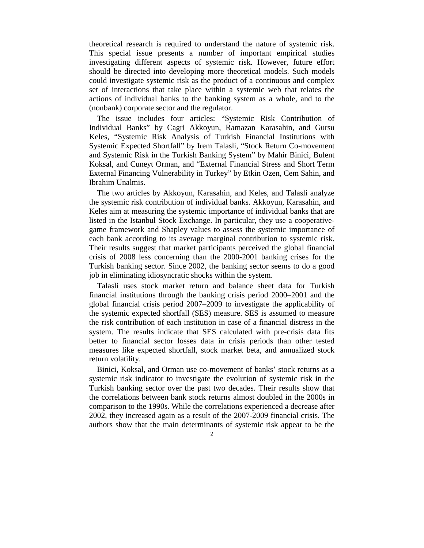theoretical research is required to understand the nature of systemic risk. This special issue presents a number of important empirical studies investigating different aspects of systemic risk. However, future effort should be directed into developing more theoretical models. Such models could investigate systemic risk as the product of a continuous and complex set of interactions that take place within a systemic web that relates the actions of individual banks to the banking system as a whole, and to the (nonbank) corporate sector and the regulator.

The issue includes four articles: "Systemic Risk Contribution of Individual Banks" by Cagri Akkoyun, Ramazan Karasahin, and Gursu Keles, "Systemic Risk Analysis of Turkish Financial Institutions with Systemic Expected Shortfall" by Irem Talasli, "Stock Return Co-movement and Systemic Risk in the Turkish Banking System" by Mahir Binici, Bulent Koksal, and Cuneyt Orman, and "External Financial Stress and Short Term External Financing Vulnerability in Turkey" by Etkin Ozen, Cem Sahin, and Ibrahim Unalmis.

The two articles by Akkoyun, Karasahin, and Keles, and Talasli analyze the systemic risk contribution of individual banks. Akkoyun, Karasahin, and Keles aim at measuring the systemic importance of individual banks that are listed in the Istanbul Stock Exchange. In particular, they use a cooperativegame framework and Shapley values to assess the systemic importance of each bank according to its average marginal contribution to systemic risk. Their results suggest that market participants perceived the global financial crisis of 2008 less concerning than the 2000-2001 banking crises for the Turkish banking sector. Since 2002, the banking sector seems to do a good job in eliminating idiosyncratic shocks within the system.

Talasli uses stock market return and balance sheet data for Turkish financial institutions through the banking crisis period 2000–2001 and the global financial crisis period 2007–2009 to investigate the applicability of the systemic expected shortfall (SES) measure. SES is assumed to measure the risk contribution of each institution in case of a financial distress in the system. The results indicate that SES calculated with pre-crisis data fits better to financial sector losses data in crisis periods than other tested measures like expected shortfall, stock market beta, and annualized stock return volatility.

Binici, Koksal, and Orman use co-movement of banks' stock returns as a systemic risk indicator to investigate the evolution of systemic risk in the Turkish banking sector over the past two decades. Their results show that the correlations between bank stock returns almost doubled in the 2000s in comparison to the 1990s. While the correlations experienced a decrease after 2002, they increased again as a result of the 2007-2009 financial crisis. The authors show that the main determinants of systemic risk appear to be the

 $\mathfrak{Z}$